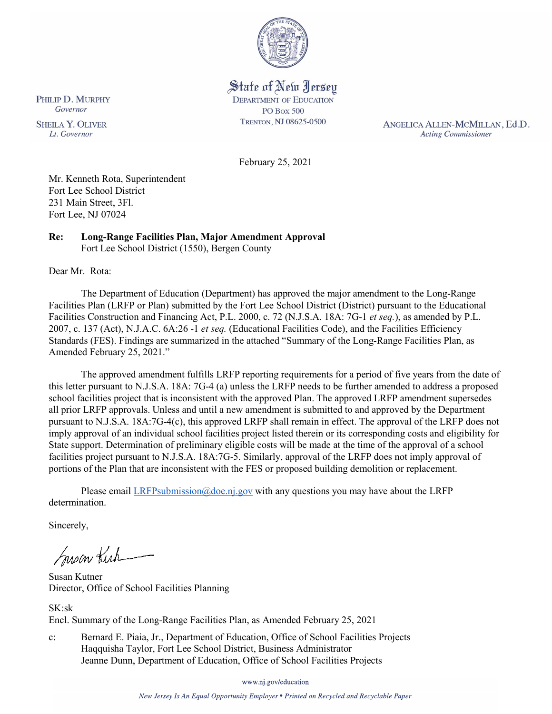

State of New Jersey **DEPARTMENT OF EDUCATION PO Box 500** TRENTON, NJ 08625-0500

ANGELICA ALLEN-MCMILLAN, Ed.D. **Acting Commissioner** 

February 25, 2021

Mr. Kenneth Rota, Superintendent Fort Lee School District 231 Main Street, 3Fl. Fort Lee, NJ 07024

#### **Re: Long-Range Facilities Plan, Major Amendment Approval**  Fort Lee School District (1550), Bergen County

Dear Mr. Rota:

The Department of Education (Department) has approved the major amendment to the Long-Range Facilities Plan (LRFP or Plan) submitted by the Fort Lee School District (District) pursuant to the Educational Facilities Construction and Financing Act, P.L. 2000, c. 72 (N.J.S.A. 18A: 7G-1 *et seq.*), as amended by P.L. 2007, c. 137 (Act), N.J.A.C. 6A:26 -1 *et seq.* (Educational Facilities Code), and the Facilities Efficiency Standards (FES). Findings are summarized in the attached "Summary of the Long-Range Facilities Plan, as Amended February 25, 2021."

The approved amendment fulfills LRFP reporting requirements for a period of five years from the date of this letter pursuant to N.J.S.A. 18A: 7G-4 (a) unless the LRFP needs to be further amended to address a proposed school facilities project that is inconsistent with the approved Plan. The approved LRFP amendment supersedes all prior LRFP approvals. Unless and until a new amendment is submitted to and approved by the Department pursuant to N.J.S.A. 18A:7G-4(c), this approved LRFP shall remain in effect. The approval of the LRFP does not imply approval of an individual school facilities project listed therein or its corresponding costs and eligibility for State support. Determination of preliminary eligible costs will be made at the time of the approval of a school facilities project pursuant to N.J.S.A. 18A:7G-5. Similarly, approval of the LRFP does not imply approval of portions of the Plan that are inconsistent with the FES or proposed building demolition or replacement.

Please email  $LRFP submission@doe.nj.gov$  with any questions you may have about the LRFP determination.

Sincerely,

Susan Kich

Susan Kutner Director, Office of School Facilities Planning

SK:sk Encl. Summary of the Long-Range Facilities Plan, as Amended February 25, 2021

c: Bernard E. Piaia, Jr., Department of Education, Office of School Facilities Projects Haqquisha Taylor, Fort Lee School District, Business Administrator Jeanne Dunn, Department of Education, Office of School Facilities Projects

www.nj.gov/education

New Jersey Is An Equal Opportunity Employer . Printed on Recycled and Recyclable Paper

PHILIP D. MURPHY Governor

**SHEILA Y. OLIVER** Lt. Governor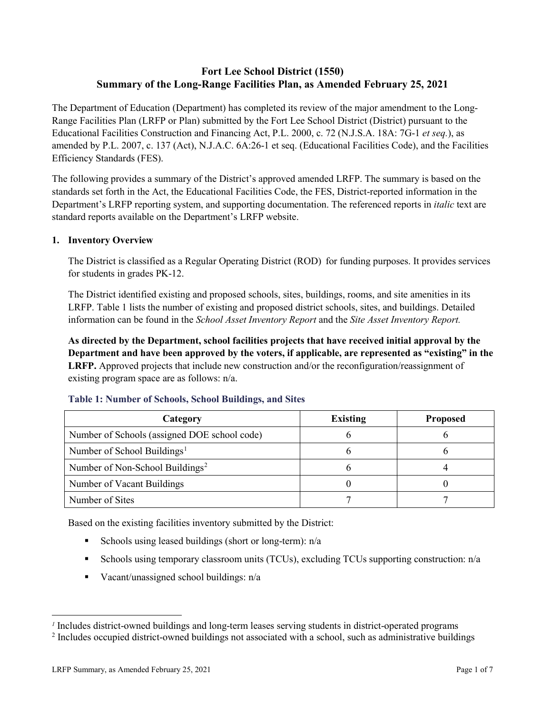# **Fort Lee School District (1550) Summary of the Long-Range Facilities Plan, as Amended February 25, 2021**

The Department of Education (Department) has completed its review of the major amendment to the Long-Range Facilities Plan (LRFP or Plan) submitted by the Fort Lee School District (District) pursuant to the Educational Facilities Construction and Financing Act, P.L. 2000, c. 72 (N.J.S.A. 18A: 7G-1 *et seq.*), as amended by P.L. 2007, c. 137 (Act), N.J.A.C. 6A:26-1 et seq. (Educational Facilities Code), and the Facilities Efficiency Standards (FES).

The following provides a summary of the District's approved amended LRFP. The summary is based on the standards set forth in the Act, the Educational Facilities Code, the FES, District-reported information in the Department's LRFP reporting system, and supporting documentation. The referenced reports in *italic* text are standard reports available on the Department's LRFP website.

### **1. Inventory Overview**

The District is classified as a Regular Operating District (ROD) for funding purposes. It provides services for students in grades PK-12.

The District identified existing and proposed schools, sites, buildings, rooms, and site amenities in its LRFP. Table 1 lists the number of existing and proposed district schools, sites, and buildings. Detailed information can be found in the *School Asset Inventory Report* and the *Site Asset Inventory Report.*

**As directed by the Department, school facilities projects that have received initial approval by the Department and have been approved by the voters, if applicable, are represented as "existing" in the LRFP.** Approved projects that include new construction and/or the reconfiguration/reassignment of existing program space are as follows: n/a.

| Category                                     | <b>Existing</b> | <b>Proposed</b> |
|----------------------------------------------|-----------------|-----------------|
| Number of Schools (assigned DOE school code) |                 |                 |
| Number of School Buildings <sup>1</sup>      |                 |                 |
| Number of Non-School Buildings <sup>2</sup>  |                 |                 |
| Number of Vacant Buildings                   |                 |                 |
| Number of Sites                              |                 |                 |

#### **Table 1: Number of Schools, School Buildings, and Sites**

Based on the existing facilities inventory submitted by the District:

- Schools using leased buildings (short or long-term):  $n/a$
- Schools using temporary classroom units (TCUs), excluding TCUs supporting construction: n/a
- Vacant/unassigned school buildings:  $n/a$

 $\overline{a}$ 

<span id="page-1-1"></span><span id="page-1-0"></span>*<sup>1</sup>* Includes district-owned buildings and long-term leases serving students in district-operated programs

<sup>&</sup>lt;sup>2</sup> Includes occupied district-owned buildings not associated with a school, such as administrative buildings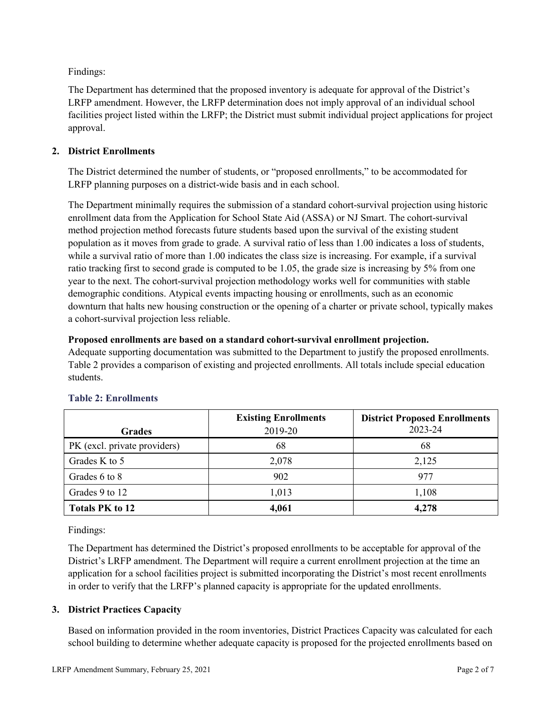Findings:

The Department has determined that the proposed inventory is adequate for approval of the District's LRFP amendment. However, the LRFP determination does not imply approval of an individual school facilities project listed within the LRFP; the District must submit individual project applications for project approval.

## **2. District Enrollments**

The District determined the number of students, or "proposed enrollments," to be accommodated for LRFP planning purposes on a district-wide basis and in each school.

The Department minimally requires the submission of a standard cohort-survival projection using historic enrollment data from the Application for School State Aid (ASSA) or NJ Smart. The cohort-survival method projection method forecasts future students based upon the survival of the existing student population as it moves from grade to grade. A survival ratio of less than 1.00 indicates a loss of students, while a survival ratio of more than 1.00 indicates the class size is increasing. For example, if a survival ratio tracking first to second grade is computed to be 1.05, the grade size is increasing by 5% from one year to the next. The cohort-survival projection methodology works well for communities with stable demographic conditions. Atypical events impacting housing or enrollments, such as an economic downturn that halts new housing construction or the opening of a charter or private school, typically makes a cohort-survival projection less reliable.

### **Proposed enrollments are based on a standard cohort-survival enrollment projection.**

Adequate supporting documentation was submitted to the Department to justify the proposed enrollments. Table 2 provides a comparison of existing and projected enrollments. All totals include special education students.

|                              | <b>Existing Enrollments</b> | <b>District Proposed Enrollments</b> |
|------------------------------|-----------------------------|--------------------------------------|
| <b>Grades</b>                | 2019-20                     | 2023-24                              |
| PK (excl. private providers) | 68                          | 68                                   |
| Grades K to 5                | 2,078                       | 2,125                                |
| Grades 6 to 8                | 902                         | 977                                  |
| Grades 9 to 12               | 1,013                       | 1,108                                |
| <b>Totals PK to 12</b>       | 4,061                       | 4,278                                |

# **Table 2: Enrollments**

Findings:

The Department has determined the District's proposed enrollments to be acceptable for approval of the District's LRFP amendment. The Department will require a current enrollment projection at the time an application for a school facilities project is submitted incorporating the District's most recent enrollments in order to verify that the LRFP's planned capacity is appropriate for the updated enrollments.

### **3. District Practices Capacity**

Based on information provided in the room inventories, District Practices Capacity was calculated for each school building to determine whether adequate capacity is proposed for the projected enrollments based on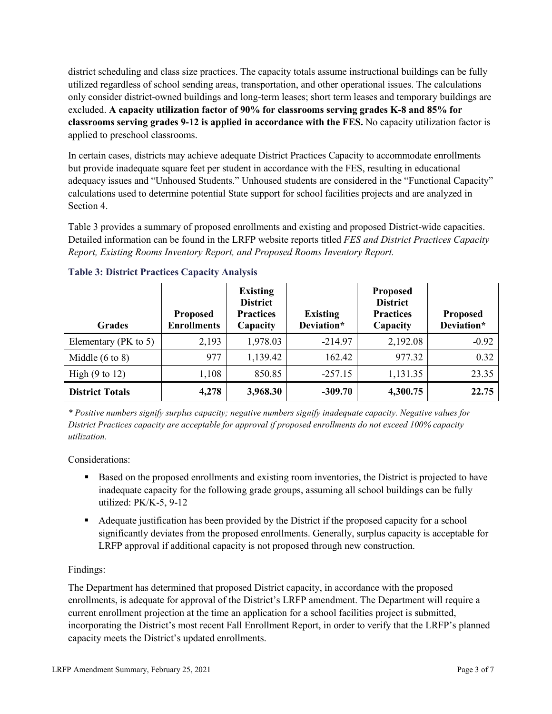district scheduling and class size practices. The capacity totals assume instructional buildings can be fully utilized regardless of school sending areas, transportation, and other operational issues. The calculations only consider district-owned buildings and long-term leases; short term leases and temporary buildings are excluded. **A capacity utilization factor of 90% for classrooms serving grades K-8 and 85% for classrooms serving grades 9-12 is applied in accordance with the FES.** No capacity utilization factor is applied to preschool classrooms.

In certain cases, districts may achieve adequate District Practices Capacity to accommodate enrollments but provide inadequate square feet per student in accordance with the FES, resulting in educational adequacy issues and "Unhoused Students." Unhoused students are considered in the "Functional Capacity" calculations used to determine potential State support for school facilities projects and are analyzed in Section 4.

Table 3 provides a summary of proposed enrollments and existing and proposed District-wide capacities. Detailed information can be found in the LRFP website reports titled *FES and District Practices Capacity Report, Existing Rooms Inventory Report, and Proposed Rooms Inventory Report.*

| <b>Grades</b>              | <b>Proposed</b><br><b>Enrollments</b> | <b>Existing</b><br><b>District</b><br><b>Practices</b><br>Capacity | <b>Existing</b><br>Deviation* | <b>Proposed</b><br><b>District</b><br><b>Practices</b><br>Capacity | <b>Proposed</b><br>Deviation* |
|----------------------------|---------------------------------------|--------------------------------------------------------------------|-------------------------------|--------------------------------------------------------------------|-------------------------------|
| Elementary ( $PK$ to 5)    | 2,193                                 | 1,978.03                                                           | $-214.97$                     | 2,192.08                                                           | $-0.92$                       |
| Middle $(6 \text{ to } 8)$ | 977                                   | 1,139.42                                                           | 162.42                        | 977.32                                                             | 0.32                          |
| High $(9 \text{ to } 12)$  | 1,108                                 | 850.85                                                             | $-257.15$                     | 1,131.35                                                           | 23.35                         |
| <b>District Totals</b>     | 4,278                                 | 3,968.30                                                           | $-309.70$                     | 4,300.75                                                           | 22.75                         |

### **Table 3: District Practices Capacity Analysis**

*\* Positive numbers signify surplus capacity; negative numbers signify inadequate capacity. Negative values for District Practices capacity are acceptable for approval if proposed enrollments do not exceed 100% capacity utilization.*

Considerations:

- Based on the proposed enrollments and existing room inventories, the District is projected to have inadequate capacity for the following grade groups, assuming all school buildings can be fully utilized: PK/K-5, 9-12
- Adequate justification has been provided by the District if the proposed capacity for a school significantly deviates from the proposed enrollments. Generally, surplus capacity is acceptable for LRFP approval if additional capacity is not proposed through new construction.

### Findings:

The Department has determined that proposed District capacity, in accordance with the proposed enrollments, is adequate for approval of the District's LRFP amendment. The Department will require a current enrollment projection at the time an application for a school facilities project is submitted, incorporating the District's most recent Fall Enrollment Report, in order to verify that the LRFP's planned capacity meets the District's updated enrollments.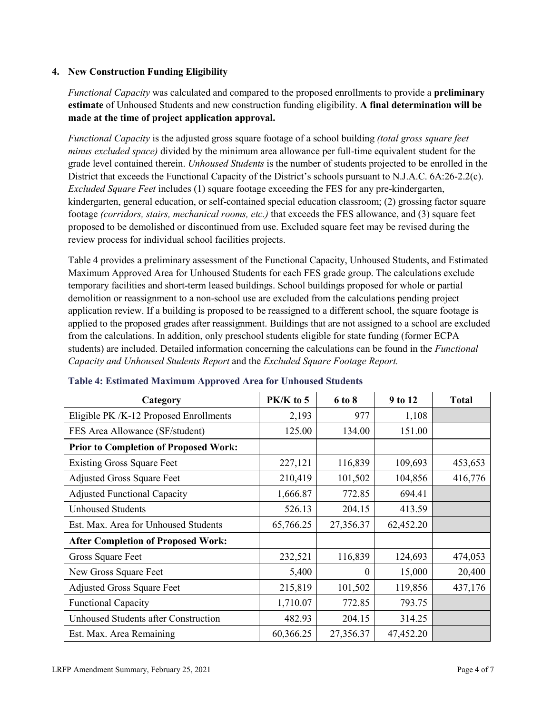### **4. New Construction Funding Eligibility**

*Functional Capacity* was calculated and compared to the proposed enrollments to provide a **preliminary estimate** of Unhoused Students and new construction funding eligibility. **A final determination will be made at the time of project application approval.**

*Functional Capacity* is the adjusted gross square footage of a school building *(total gross square feet minus excluded space)* divided by the minimum area allowance per full-time equivalent student for the grade level contained therein. *Unhoused Students* is the number of students projected to be enrolled in the District that exceeds the Functional Capacity of the District's schools pursuant to N.J.A.C. 6A:26-2.2(c). *Excluded Square Feet* includes (1) square footage exceeding the FES for any pre-kindergarten, kindergarten, general education, or self-contained special education classroom; (2) grossing factor square footage *(corridors, stairs, mechanical rooms, etc.)* that exceeds the FES allowance, and (3) square feet proposed to be demolished or discontinued from use. Excluded square feet may be revised during the review process for individual school facilities projects.

Table 4 provides a preliminary assessment of the Functional Capacity, Unhoused Students, and Estimated Maximum Approved Area for Unhoused Students for each FES grade group. The calculations exclude temporary facilities and short-term leased buildings. School buildings proposed for whole or partial demolition or reassignment to a non-school use are excluded from the calculations pending project application review. If a building is proposed to be reassigned to a different school, the square footage is applied to the proposed grades after reassignment. Buildings that are not assigned to a school are excluded from the calculations. In addition, only preschool students eligible for state funding (former ECPA students) are included. Detailed information concerning the calculations can be found in the *Functional Capacity and Unhoused Students Report* and the *Excluded Square Footage Report.*

| Category                                     | PK/K to 5 | 6 to 8    | 9 to 12   | <b>Total</b> |
|----------------------------------------------|-----------|-----------|-----------|--------------|
| Eligible PK /K-12 Proposed Enrollments       | 2,193     | 977       | 1,108     |              |
| FES Area Allowance (SF/student)              | 125.00    | 134.00    | 151.00    |              |
| <b>Prior to Completion of Proposed Work:</b> |           |           |           |              |
| <b>Existing Gross Square Feet</b>            | 227,121   | 116,839   | 109,693   | 453,653      |
| <b>Adjusted Gross Square Feet</b>            | 210,419   | 101,502   | 104,856   | 416,776      |
| <b>Adjusted Functional Capacity</b>          | 1,666.87  | 772.85    | 694.41    |              |
| <b>Unhoused Students</b>                     | 526.13    | 204.15    | 413.59    |              |
| Est. Max. Area for Unhoused Students         | 65,766.25 | 27,356.37 | 62,452.20 |              |
| <b>After Completion of Proposed Work:</b>    |           |           |           |              |
| Gross Square Feet                            | 232,521   | 116,839   | 124,693   | 474,053      |
| New Gross Square Feet                        | 5,400     | $\Omega$  | 15,000    | 20,400       |
| <b>Adjusted Gross Square Feet</b>            | 215,819   | 101,502   | 119,856   | 437,176      |
| <b>Functional Capacity</b>                   | 1,710.07  | 772.85    | 793.75    |              |
| <b>Unhoused Students after Construction</b>  | 482.93    | 204.15    | 314.25    |              |
| Est. Max. Area Remaining                     | 60,366.25 | 27,356.37 | 47,452.20 |              |

#### **Table 4: Estimated Maximum Approved Area for Unhoused Students**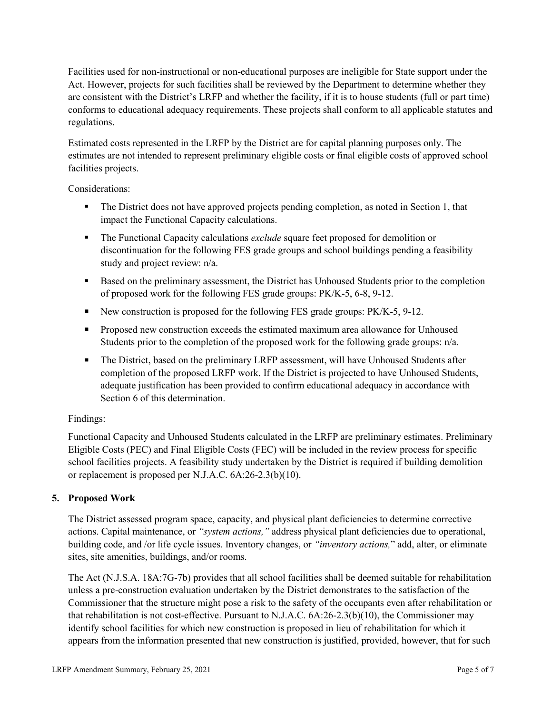Facilities used for non-instructional or non-educational purposes are ineligible for State support under the Act. However, projects for such facilities shall be reviewed by the Department to determine whether they are consistent with the District's LRFP and whether the facility, if it is to house students (full or part time) conforms to educational adequacy requirements. These projects shall conform to all applicable statutes and regulations.

Estimated costs represented in the LRFP by the District are for capital planning purposes only. The estimates are not intended to represent preliminary eligible costs or final eligible costs of approved school facilities projects.

Considerations:

- The District does not have approved projects pending completion, as noted in Section 1, that impact the Functional Capacity calculations.
- **The Functional Capacity calculations** *exclude* square feet proposed for demolition or discontinuation for the following FES grade groups and school buildings pending a feasibility study and project review: n/a.
- Based on the preliminary assessment, the District has Unhoused Students prior to the completion of proposed work for the following FES grade groups: PK/K-5, 6-8, 9-12.
- New construction is proposed for the following FES grade groups: PK/K-5, 9-12.
- Proposed new construction exceeds the estimated maximum area allowance for Unhoused Students prior to the completion of the proposed work for the following grade groups: n/a.
- The District, based on the preliminary LRFP assessment, will have Unhoused Students after completion of the proposed LRFP work. If the District is projected to have Unhoused Students, adequate justification has been provided to confirm educational adequacy in accordance with Section 6 of this determination.

### Findings:

Functional Capacity and Unhoused Students calculated in the LRFP are preliminary estimates. Preliminary Eligible Costs (PEC) and Final Eligible Costs (FEC) will be included in the review process for specific school facilities projects. A feasibility study undertaken by the District is required if building demolition or replacement is proposed per N.J.A.C. 6A:26-2.3(b)(10).

### **5. Proposed Work**

The District assessed program space, capacity, and physical plant deficiencies to determine corrective actions. Capital maintenance, or *"system actions,"* address physical plant deficiencies due to operational, building code, and /or life cycle issues. Inventory changes, or *"inventory actions,*" add, alter, or eliminate sites, site amenities, buildings, and/or rooms.

The Act (N.J.S.A. 18A:7G-7b) provides that all school facilities shall be deemed suitable for rehabilitation unless a pre-construction evaluation undertaken by the District demonstrates to the satisfaction of the Commissioner that the structure might pose a risk to the safety of the occupants even after rehabilitation or that rehabilitation is not cost-effective. Pursuant to N.J.A.C. 6A:26-2.3(b)(10), the Commissioner may identify school facilities for which new construction is proposed in lieu of rehabilitation for which it appears from the information presented that new construction is justified, provided, however, that for such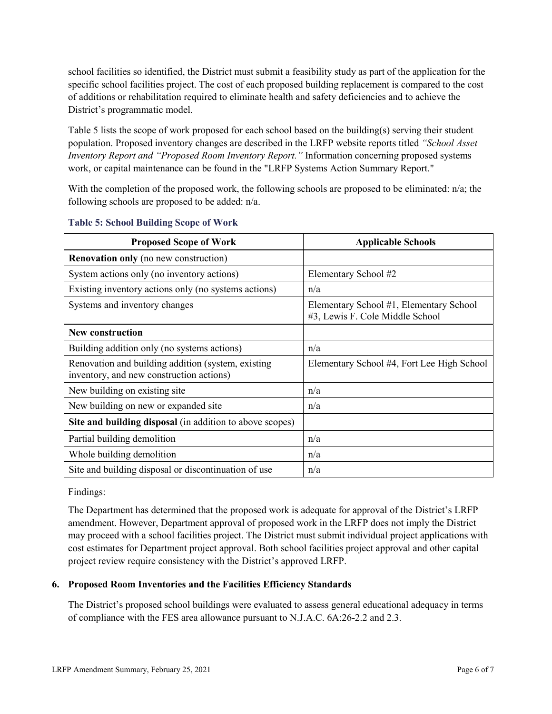school facilities so identified, the District must submit a feasibility study as part of the application for the specific school facilities project. The cost of each proposed building replacement is compared to the cost of additions or rehabilitation required to eliminate health and safety deficiencies and to achieve the District's programmatic model.

Table 5 lists the scope of work proposed for each school based on the building(s) serving their student population. Proposed inventory changes are described in the LRFP website reports titled *"School Asset Inventory Report and "Proposed Room Inventory Report."* Information concerning proposed systems work, or capital maintenance can be found in the "LRFP Systems Action Summary Report."

With the completion of the proposed work, the following schools are proposed to be eliminated:  $n/a$ ; the following schools are proposed to be added: n/a.

| <b>Proposed Scope of Work</b>                                                                  | <b>Applicable Schools</b>                                                  |
|------------------------------------------------------------------------------------------------|----------------------------------------------------------------------------|
| <b>Renovation only</b> (no new construction)                                                   |                                                                            |
| System actions only (no inventory actions)                                                     | Elementary School #2                                                       |
| Existing inventory actions only (no systems actions)                                           | n/a                                                                        |
| Systems and inventory changes                                                                  | Elementary School #1, Elementary School<br>#3, Lewis F. Cole Middle School |
| <b>New construction</b>                                                                        |                                                                            |
| Building addition only (no systems actions)                                                    | n/a                                                                        |
| Renovation and building addition (system, existing<br>inventory, and new construction actions) | Elementary School #4, Fort Lee High School                                 |
| New building on existing site                                                                  | n/a                                                                        |
| New building on new or expanded site                                                           | n/a                                                                        |
| Site and building disposal (in addition to above scopes)                                       |                                                                            |
| Partial building demolition                                                                    | n/a                                                                        |
| Whole building demolition                                                                      | n/a                                                                        |
| Site and building disposal or discontinuation of use                                           | n/a                                                                        |

#### **Table 5: School Building Scope of Work**

Findings:

The Department has determined that the proposed work is adequate for approval of the District's LRFP amendment. However, Department approval of proposed work in the LRFP does not imply the District may proceed with a school facilities project. The District must submit individual project applications with cost estimates for Department project approval. Both school facilities project approval and other capital project review require consistency with the District's approved LRFP.

### **6. Proposed Room Inventories and the Facilities Efficiency Standards**

The District's proposed school buildings were evaluated to assess general educational adequacy in terms of compliance with the FES area allowance pursuant to N.J.A.C. 6A:26-2.2 and 2.3.